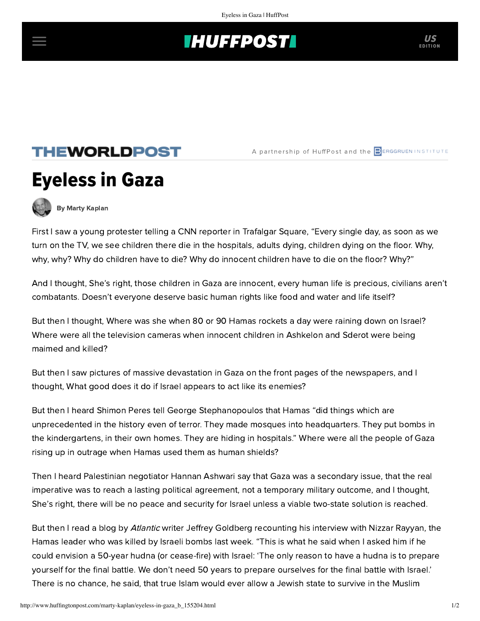## **INUFFPOST**

## **THEWORLDPOST**

A partnership of HuffPost and the **BERGGRUEN INSTITUTE** 



[By Marty Kaplan](http://www.huffingtonpost.com/author/marty-kaplan)

First I saw a young protester telling a CNN reporter in Trafalgar Square, "Every single day, as soon as we turn on the TV, we see children there die in the hospitals, adults dying, children dying on the floor. Why, why, why? Why do children have to die? Why do innocent children have to die on the floor? Why?"

And I thought, She's right, those children in Gaza are innocent, every human life is precious, civilians aren't combatants. Doesn't everyone deserve basic human rights like food and water and life itself?

But then I thought, Where was she when 80 or 90 Hamas rockets a day were raining down on Israel? Where were all the television cameras when innocent children in Ashkelon and Sderot were being maimed and killed?

But then I saw pictures of massive devastation in Gaza on the front pages of the newspapers, and I thought, What good does it do if Israel appears to act like its enemies?

But then I heard Shimon Peres tell George Stephanopoulos that Hamas "did things which are unprecedented in the history even of terror. They made mosques into headquarters. They put bombs in the kindergartens, in their own homes. They are hiding in hospitals." Where were all the people of Gaza rising up in outrage when Hamas used them as human shields?

Then I heard Palestinian negotiator Hannan Ashwari say that Gaza was a secondary issue, that the real imperative was to reach a lasting political agreement, not a temporary military outcome, and I thought, She's right, there will be no peace and security for Israel unless a viable two-state solution is reached.

But then I read a blog by *Atlantic* writer Jeffrey Goldberg recounting his interview with Nizzar Rayyan, the Hamas leader who was killed by Israeli bombs last week. "This is what he said when I asked him if he could envision a 50-year hudna (or cease-fire) with Israel: 'The only reason to have a hudna is to prepare yourself for the final battle. We don't need 50 years to prepare ourselves for the final battle with Israel.' There is no chance, he said, that true Islam would ever allow a Jewish state to survive in the Muslim